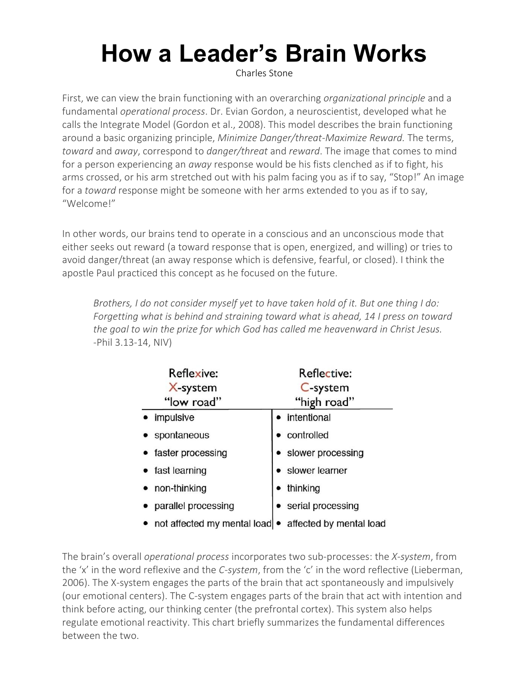## **How a Leader's Brain Works**

[Charles](https://charlesstone.com/author/charlesstone/) Stone

First, we can view the brain functioning with an overarching *organizational principle* and a fundamental *operational process*. Dr. Evian Gordon, a neuroscientist, developed what he calls the Integrate Model (Gordon et al., 2008). This model describes the brain functioning around a basic organizing principle, *Minimize Danger/threat-Maximize Reward.* The terms, *toward* and *away*, correspond to *danger/threat* and *reward*. The image that comes to mind for a person experiencing an *away* response would be his fists clenched as if to fight, his arms crossed, or his arm stretched out with his palm facing you as if to say, "Stop!" An image for a *toward* response might be someone with her arms extended to you as if to say, "Welcome!"

In other words, our brains tend to operate in a conscious and an unconscious mode that either seeks out reward (a toward response that is open, energized, and willing) or tries to avoid danger/threat (an away response which is defensive, fearful, or closed). I think the apostle Paul practiced this concept as he focused on the future.

*Brothers, I do not consider myself yet to have taken hold of it. But one thing I do: Forgetting what is behind and straining toward what is ahead, 14 I press on toward the goal to win the prize for which God has called me heavenward in Christ Jesus.* -Phil 3.13-14, NIV)

| Reflexive:                                              | Reflective:         |
|---------------------------------------------------------|---------------------|
| X-system                                                | C-system            |
| "low road"                                              | "high road"         |
| impulsive                                               | intentional         |
| spontaneous                                             | controlled          |
| • faster processing                                     | · slower processing |
| fast learning                                           | slower learner      |
| non-thinking                                            | thinking            |
| • parallel processing                                   | serial processing   |
| • not affected my mental load • affected by mental load |                     |

The brain's overall *operational process* incorporates two sub-processes: the *X-system*, from the 'x' in the word reflexive and the *C-system*, from the 'c' in the word reflective (Lieberman, 2006). The X-system engages the parts of the brain that act spontaneously and impulsively (our emotional centers). The C-system engages parts of the brain that act with intention and think before acting, our thinking center (the prefrontal cortex). This system also helps regulate emotional reactivity. This chart briefly summarizes the fundamental differences between the two.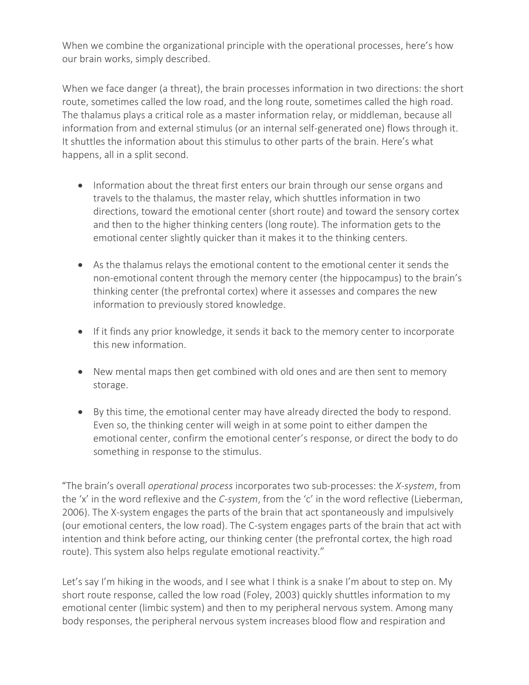When we combine the organizational principle with the operational processes, here's how our brain works, simply described.

When we face danger (a threat), the brain processes information in two directions: the short route, sometimes called the low road, and the long route, sometimes called the high road. The thalamus plays a critical role as a master information relay, or middleman, because all information from and external stimulus (or an internal self-generated one) flows through it. It shuttles the information about this stimulus to other parts of the brain. Here's what happens, all in a split second.

- Information about the threat first enters our brain through our sense organs and travels to the thalamus, the master relay, which shuttles information in two directions, toward the emotional center (short route) and toward the sensory cortex and then to the higher thinking centers (long route). The information gets to the emotional center slightly quicker than it makes it to the thinking centers.
- As the thalamus relays the emotional content to the emotional center it sends the non-emotional content through the memory center (the hippocampus) to the brain's thinking center (the prefrontal cortex) where it assesses and compares the new information to previously stored knowledge.
- If it finds any prior knowledge, it sends it back to the memory center to incorporate this new information.
- New mental maps then get combined with old ones and are then sent to memory storage.
- By this time, the emotional center may have already directed the body to respond. Even so, the thinking center will weigh in at some point to either dampen the emotional center, confirm the emotional center's response, or direct the body to do something in response to the stimulus.

"The brain's overall *operational process* incorporates two sub-processes: the *X-system*, from the 'x' in the word reflexive and the *C-system*, from the 'c' in the word reflective (Lieberman, 2006). The X-system engages the parts of the brain that act spontaneously and impulsively (our emotional centers, the low road). The C-system engages parts of the brain that act with intention and think before acting, our thinking center (the prefrontal cortex, the high road route). This system also helps regulate emotional reactivity."

Let's say I'm hiking in the woods, and I see what I think is a snake I'm about to step on. My short route response, called the low road (Foley, 2003) quickly shuttles information to my emotional center (limbic system) and then to my peripheral nervous system. Among many body responses, the peripheral nervous system increases blood flow and respiration and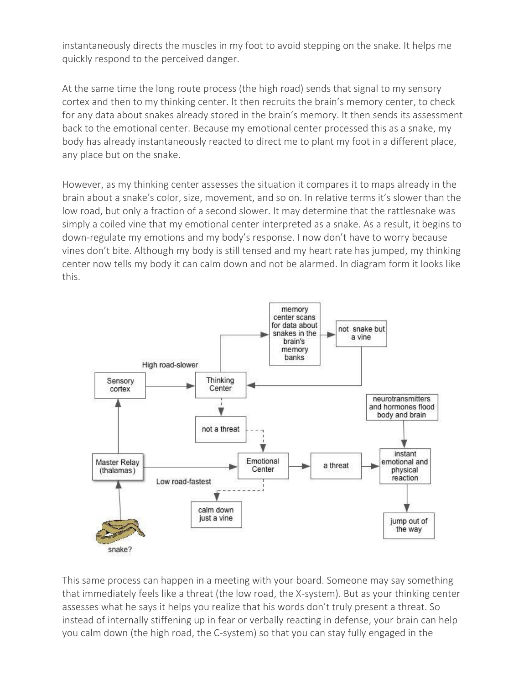instantaneously directs the muscles in my foot to avoid stepping on the snake. It helps me quickly respond to the perceived danger.

At the same time the long route process (the high road) sends that signal to my sensory cortex and then to my thinking center. It then recruits the brain's memory center, to check for any data about snakes already stored in the brain's memory. It then sends its assessment back to the emotional center. Because my emotional center processed this as a snake, my body has already instantaneously reacted to direct me to plant my foot in a different place, any place but on the snake.

However, as my thinking center assesses the situation it compares it to maps already in the brain about a snake's color, size, movement, and so on. In relative terms it's slower than the low road, but only a fraction of a second slower. It may determine that the rattlesnake was simply a coiled vine that my emotional center interpreted as a snake. As a result, it begins to down-regulate my emotions and my body's response. I now don't have to worry because vines don't bite. Although my body is still tensed and my heart rate has jumped, my thinking center now tells my body it can calm down and not be alarmed. In diagram form it looks like this.



This same process can happen in a meeting with your board. Someone may say something that immediately feels like a threat (the low road, the X-system). But as your thinking center assesses what he says it helps you realize that his words don't truly present a threat. So instead of internally stiffening up in fear or verbally reacting in defense, your brain can help you calm down (the high road, the C-system) so that you can stay fully engaged in the